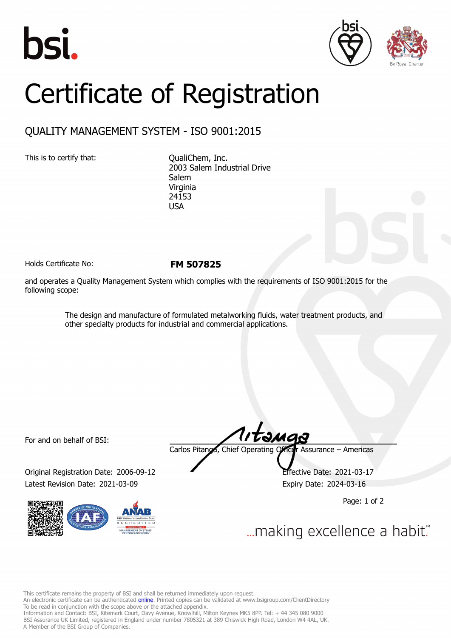





## Certificate of Registration

## QUALITY MANAGEMENT SYSTEM - ISO 9001:2015

This is to certify that: CualiChem, Inc.

2003 Salem Industrial Drive **Salem** Virginia 24153 USA

Holds Certificate No: **FM 507825**

and operates a Quality Management System which complies with the requirements of ISO 9001:2015 for the following scope:

> The design and manufacture of formulated metalworking fluids, water treatment products, and other specialty products for industrial and commercial applications.

For and on behalf of BSI:

Original Registration Date: 2006-09-12 Effective Date: 2021-03-17 Latest Revision Date: 2021-03-09 **Expiry Date: 2024-03-16** 



Carlos Pitanga, Chief Operating Officer Assurance – Americas

Page: 1 of 2

... making excellence a habit."

This certificate remains the property of BSI and shall be returned immediately upon request.

An electronic certificate can be authenticated *[online](https://pgplus.bsigroup.com/CertificateValidation/CertificateValidator.aspx?CertificateNumber=FM+507825&ReIssueDate=09%2f03%2f2021&Template=inc)*. Printed copies can be validated at www.bsigroup.com/ClientDirectory To be read in conjunction with the scope above or the attached appendix.

Information and Contact: BSI, Kitemark Court, Davy Avenue, Knowlhill, Milton Keynes MK5 8PP. Tel: + 44 345 080 9000 BSI Assurance UK Limited, registered in England under number 7805321 at 389 Chiswick High Road, London W4 4AL, UK. A Member of the BSI Group of Companies.